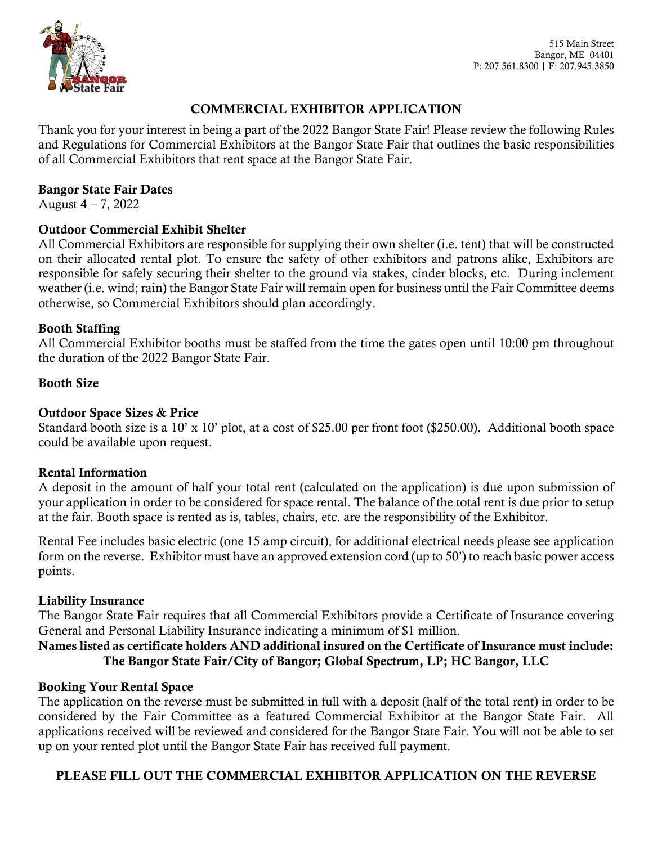

# COMMERCIAL EXHIBITOR APPLICATION

Thank you for your interest in being a part of the 2022 Bangor State Fair! Please review the following Rules and Regulations for Commercial Exhibitors at the Bangor State Fair that outlines the basic responsibilities of all Commercial Exhibitors that rent space at the Bangor State Fair.

#### Bangor State Fair Dates

August  $4 - 7$ , 2022

# Outdoor Commercial Exhibit Shelter

All Commercial Exhibitors are responsible for supplying their own shelter (i.e. tent) that will be constructed on their allocated rental plot. To ensure the safety of other exhibitors and patrons alike, Exhibitors are responsible for safely securing their shelter to the ground via stakes, cinder blocks, etc. During inclement weather (i.e. wind; rain) the Bangor State Fair will remain open for business until the Fair Committee deems otherwise, so Commercial Exhibitors should plan accordingly.

## Booth Staffing

All Commercial Exhibitor booths must be staffed from the time the gates open until 10:00 pm throughout the duration of the 2022 Bangor State Fair.

## Booth Size

# Outdoor Space Sizes & Price

Standard booth size is a 10' x 10' plot, at a cost of \$25.00 per front foot (\$250.00). Additional booth space could be available upon request.

#### Rental Information

A deposit in the amount of half your total rent (calculated on the application) is due upon submission of your application in order to be considered for space rental. The balance of the total rent is due prior to setup at the fair. Booth space is rented as is, tables, chairs, etc. are the responsibility of the Exhibitor.

Rental Fee includes basic electric (one 15 amp circuit), for additional electrical needs please see application form on the reverse. Exhibitor must have an approved extension cord (up to 50') to reach basic power access points.

# Liability Insurance

The Bangor State Fair requires that all Commercial Exhibitors provide a Certificate of Insurance covering General and Personal Liability Insurance indicating a minimum of \$1 million.

# Names listed as certificate holders AND additional insured on the Certificate of Insurance must include: The Bangor State Fair/City of Bangor; Global Spectrum, LP; HC Bangor, LLC

#### Booking Your Rental Space

The application on the reverse must be submitted in full with a deposit (half of the total rent) in order to be considered by the Fair Committee as a featured Commercial Exhibitor at the Bangor State Fair. All applications received will be reviewed and considered for the Bangor State Fair. You will not be able to set up on your rented plot until the Bangor State Fair has received full payment.

# PLEASE FILL OUT THE COMMERCIAL EXHIBITOR APPLICATION ON THE REVERSE